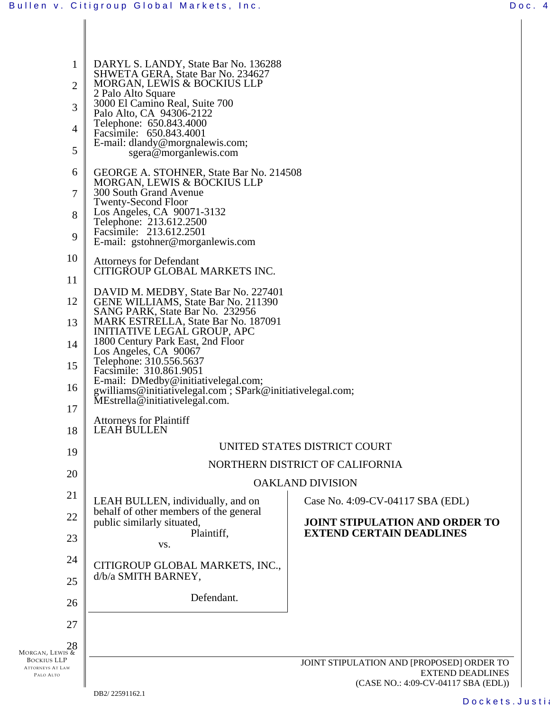| 1<br>2<br>3<br>4<br>5                                      | DARYL S. LANDY, State Bar No. 136288<br>SHWETA GERA, State Bar No. 234627<br>MORGAN, LEWIS & BOCKIUS LLP<br>2 Palo Alto Square<br>3000 El Camino Real, Suite 700<br>Palo Alto, CA 94306-2122<br>Telephone: 650.843.4000<br>Facsimile: 650.843.4001<br>E-mail: dlandy@morgnalewis.com;<br>sgera@morganlewis.com                                                                                                                                                                                                                                                                                                                           |                                                                                                             |  |  |  |
|------------------------------------------------------------|------------------------------------------------------------------------------------------------------------------------------------------------------------------------------------------------------------------------------------------------------------------------------------------------------------------------------------------------------------------------------------------------------------------------------------------------------------------------------------------------------------------------------------------------------------------------------------------------------------------------------------------|-------------------------------------------------------------------------------------------------------------|--|--|--|
| 6<br>7<br>8<br>9                                           | GEORGE A. STOHNER, State Bar No. 214508<br>MORGAN, LEWIS & BOCKIUS LLP<br>300 South Grand Avenue<br><b>Twenty-Second Floor</b><br>Los Angeles, CA 90071-3132<br>Telephone: 213.612.2500<br>Facsimile: 213.612.2501<br>E-mail: gstohner@morganlewis.com<br>10<br><b>Attorneys for Defendant</b><br>CITIGROUP GLOBAL MARKETS INC.<br>11<br>DAVID M. MEDBY, State Bar No. 227401<br>12<br>GENE WILLIAMS, State Bar No. 211390<br>SANG PARK, State Bar No. 232956<br>MARK ESTRELLA, State Bar No. 187091<br>13<br>INITIATIVE LEGAL GROUP, APC<br>1800 Century Park East, 2nd Floor<br>14<br>Los Angeles, CA 90067<br>Telephone: 310.556.5637 |                                                                                                             |  |  |  |
| 15                                                         |                                                                                                                                                                                                                                                                                                                                                                                                                                                                                                                                                                                                                                          |                                                                                                             |  |  |  |
| 16<br>17<br>18                                             | Facsimile: 310.861.9051<br>E-mail: DMedby@initiativelegal.com;<br>gwilliams@initiativelegal.com; SPark@initiativelegal.com;<br>MEstrella@initiativelegal.com.<br><b>Attorneys for Plaintiff</b><br><b>LEAH BULLEN</b>                                                                                                                                                                                                                                                                                                                                                                                                                    |                                                                                                             |  |  |  |
| 19                                                         | UNITED STATES DISTRICT COURT<br>NORTHERN DISTRICT OF CALIFORNIA<br><b>OAKLAND DIVISION</b>                                                                                                                                                                                                                                                                                                                                                                                                                                                                                                                                               |                                                                                                             |  |  |  |
| 20                                                         |                                                                                                                                                                                                                                                                                                                                                                                                                                                                                                                                                                                                                                          |                                                                                                             |  |  |  |
| 21                                                         | LEAH BULLEN, individually, and on                                                                                                                                                                                                                                                                                                                                                                                                                                                                                                                                                                                                        | Case No. 4:09-CV-04117 SBA (EDL)                                                                            |  |  |  |
| 22                                                         | behalf of other members of the general<br>public similarly situated,<br>Plaintiff,                                                                                                                                                                                                                                                                                                                                                                                                                                                                                                                                                       | <b>JOINT STIPULATION AND ORDER TO</b><br><b>EXTEND CERTAIN DEADLINES</b>                                    |  |  |  |
| 23                                                         | VS.                                                                                                                                                                                                                                                                                                                                                                                                                                                                                                                                                                                                                                      |                                                                                                             |  |  |  |
| 24<br>25                                                   | CITIGROUP GLOBAL MARKETS, INC.,<br>d/b/a SMITH BARNEY,                                                                                                                                                                                                                                                                                                                                                                                                                                                                                                                                                                                   |                                                                                                             |  |  |  |
| 26                                                         | Defendant.                                                                                                                                                                                                                                                                                                                                                                                                                                                                                                                                                                                                                               |                                                                                                             |  |  |  |
| 27                                                         |                                                                                                                                                                                                                                                                                                                                                                                                                                                                                                                                                                                                                                          |                                                                                                             |  |  |  |
| 28<br><b>IORGAN, LEWIS &amp;</b>                           |                                                                                                                                                                                                                                                                                                                                                                                                                                                                                                                                                                                                                                          |                                                                                                             |  |  |  |
| <b>BOCKIUS LLP</b><br><b>ATTORNEYS AT LAW</b><br>PALO ALTO |                                                                                                                                                                                                                                                                                                                                                                                                                                                                                                                                                                                                                                          | JOINT STIPULATION AND [PROPOSED] ORDER TO<br><b>EXTEND DEADLINES</b><br>(CASE NO.: 4:09-CV-04117 SBA (EDL)) |  |  |  |

MORGAN,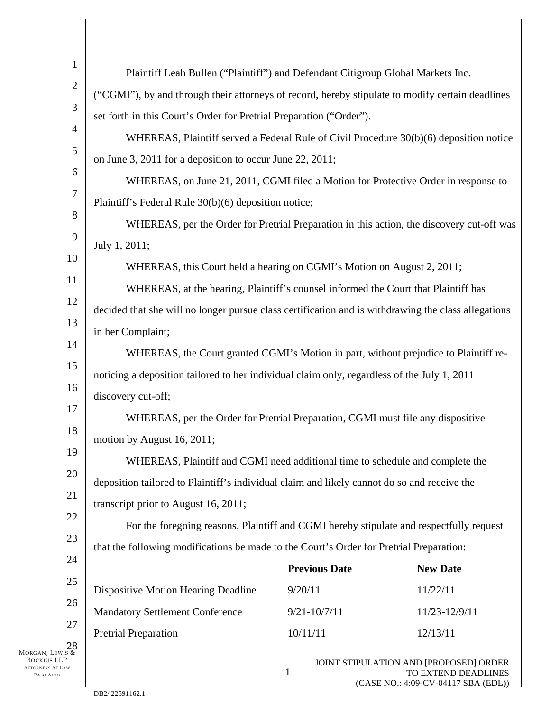| $\mathbf{1}$     |                                                                                                     |                      |                                        |  |  |  |
|------------------|-----------------------------------------------------------------------------------------------------|----------------------|----------------------------------------|--|--|--|
| $\mathbf{2}$     | Plaintiff Leah Bullen ("Plaintiff") and Defendant Citigroup Global Markets Inc.                     |                      |                                        |  |  |  |
| 3                | ("CGMI"), by and through their attorneys of record, hereby stipulate to modify certain deadlines    |                      |                                        |  |  |  |
|                  | set forth in this Court's Order for Pretrial Preparation ("Order").                                 |                      |                                        |  |  |  |
| $\overline{4}$   | WHEREAS, Plaintiff served a Federal Rule of Civil Procedure 30(b)(6) deposition notice              |                      |                                        |  |  |  |
| 5                | on June 3, 2011 for a deposition to occur June 22, 2011;                                            |                      |                                        |  |  |  |
| 6                | WHEREAS, on June 21, 2011, CGMI filed a Motion for Protective Order in response to                  |                      |                                        |  |  |  |
| $\tau$           | Plaintiff's Federal Rule 30(b)(6) deposition notice;                                                |                      |                                        |  |  |  |
| 8                | WHEREAS, per the Order for Pretrial Preparation in this action, the discovery cut-off was           |                      |                                        |  |  |  |
| 9                | July 1, 2011;                                                                                       |                      |                                        |  |  |  |
| 10               | WHEREAS, this Court held a hearing on CGMI's Motion on August 2, 2011;                              |                      |                                        |  |  |  |
| 11               | WHEREAS, at the hearing, Plaintiff's counsel informed the Court that Plaintiff has                  |                      |                                        |  |  |  |
| 12               | decided that she will no longer pursue class certification and is withdrawing the class allegations |                      |                                        |  |  |  |
| 13               | in her Complaint;                                                                                   |                      |                                        |  |  |  |
| 14               | WHEREAS, the Court granted CGMI's Motion in part, without prejudice to Plaintiff re-                |                      |                                        |  |  |  |
| 15               | noticing a deposition tailored to her individual claim only, regardless of the July 1, 2011         |                      |                                        |  |  |  |
| 16               | discovery cut-off;                                                                                  |                      |                                        |  |  |  |
| 17               | WHEREAS, per the Order for Pretrial Preparation, CGMI must file any dispositive                     |                      |                                        |  |  |  |
| 18               | motion by August 16, 2011;                                                                          |                      |                                        |  |  |  |
| 19               | WHEREAS, Plaintiff and CGMI need additional time to schedule and complete the                       |                      |                                        |  |  |  |
| 20               | deposition tailored to Plaintiff's individual claim and likely cannot do so and receive the         |                      |                                        |  |  |  |
| 21               | transcript prior to August 16, 2011;                                                                |                      |                                        |  |  |  |
| 22               | For the foregoing reasons, Plaintiff and CGMI hereby stipulate and respectfully request             |                      |                                        |  |  |  |
| 23               | that the following modifications be made to the Court's Order for Pretrial Preparation:             |                      |                                        |  |  |  |
| 24               |                                                                                                     | <b>Previous Date</b> | <b>New Date</b>                        |  |  |  |
| 25               | Dispositive Motion Hearing Deadline                                                                 | 9/20/11              | 11/22/11                               |  |  |  |
| 26               | <b>Mandatory Settlement Conference</b>                                                              | $9/21 - 10/7/11$     | 11/23-12/9/11                          |  |  |  |
| 27               | <b>Pretrial Preparation</b>                                                                         | 10/11/11             | 12/13/11                               |  |  |  |
| $\frac{28}{\pi}$ |                                                                                                     |                      | JOINT STIPULATION AND [PROPOSED] ORDER |  |  |  |
| AW               |                                                                                                     |                      | TO EXTEND DEADLINES                    |  |  |  |

MORGAN, LEWIS & BOCKIUS LLP ATTORNEYS AT L PALO ALTO

∥

(CASE NO.: 4:09-CV-04117 SBA (EDL))